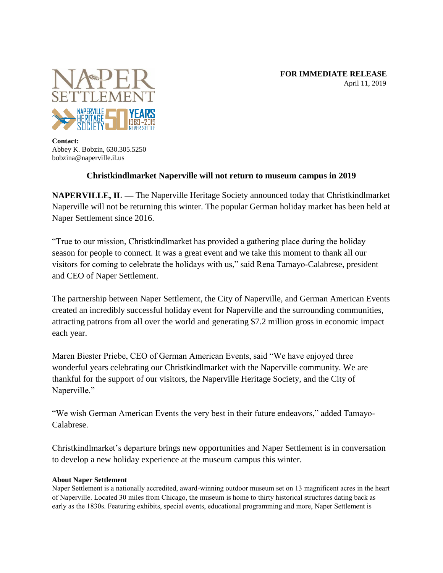**FOR IMMEDIATE RELEASE** April 11, 2019



**Contact:** Abbey K. Bobzin, 630.305.5250 bobzina@naperville.il.us

## **Christkindlmarket Naperville will not return to museum campus in 2019**

**NAPERVILLE, IL — The Naperville Heritage Society announced today that Christkindlmarket** Naperville will not be returning this winter. The popular German holiday market has been held at Naper Settlement since 2016.

"True to our mission, Christkindlmarket has provided a gathering place during the holiday season for people to connect. It was a great event and we take this moment to thank all our visitors for coming to celebrate the holidays with us," said Rena Tamayo-Calabrese, president and CEO of Naper Settlement.

The partnership between Naper Settlement, the City of Naperville, and German American Events created an incredibly successful holiday event for Naperville and the surrounding communities, attracting patrons from all over the world and generating \$7.2 million gross in economic impact each year.

Maren Biester Priebe, CEO of German American Events, said "We have enjoyed three wonderful years celebrating our Christkindlmarket with the Naperville community. We are thankful for the support of our visitors, the Naperville Heritage Society, and the City of Naperville."

"We wish German American Events the very best in their future endeavors," added Tamayo-Calabrese.

Christkindlmarket's departure brings new opportunities and Naper Settlement is in conversation to develop a new holiday experience at the museum campus this winter.

## **About Naper Settlement**

**Naper Settlement is a nationally accredited, award-winning outdoor museum set on 13 magnificent acres in the heart of Naperville. Located 30 miles from Chicago, the museum is home to thirty historical structures dating back as early as the 1830s. Featuring exhibits, special events, educational programming and more, Naper Settlement is**